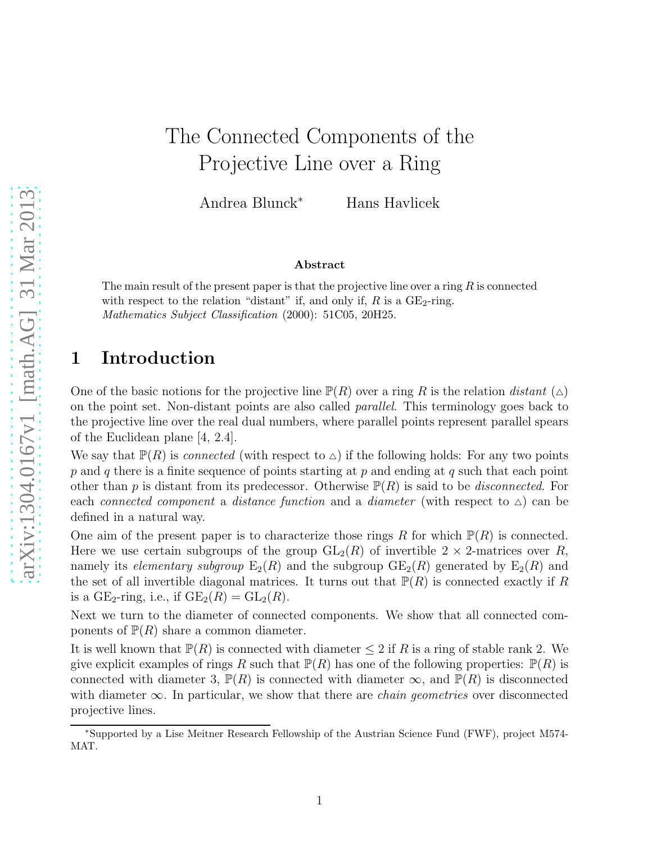# The Connected Components of the Projective Line over a Ring

Andrea Blunck<sup>∗</sup> Hans Havlicek

#### Abstract

The main result of the present paper is that the projective line over a ring  $R$  is connected with respect to the relation "distant" if, and only if,  $R$  is a  $GE_2$ -ring. Mathematics Subject Classification (2000): 51C05, 20H25.

### 1 Introduction

One of the basic notions for the projective line  $\mathbb{P}(R)$  over a ring R is the relation *distant* ( $\triangle$ ) on the point set. Non-distant points are also called *parallel*. This terminology goes back to the projective line over the real dual numbers, where parallel points represent parallel spears of the Euclidean plane [4, 2.4].

We say that  $\mathbb{P}(R)$  is *connected* (with respect to  $\triangle$ ) if the following holds: For any two points  $p$  and  $q$  there is a finite sequence of points starting at  $p$  and ending at  $q$  such that each point other than p is distant from its predecessor. Otherwise  $P(R)$  is said to be *disconnected*. For each *connected component* a *distance function* and a *diameter* (with respect to △) can be defined in a natural way.

One aim of the present paper is to characterize those rings R for which  $\mathbb{P}(R)$  is connected. Here we use certain subgroups of the group  $GL_2(R)$  of invertible  $2 \times 2$ -matrices over R, namely its *elementary subgroup*  $E_2(R)$  and the subgroup  $GE_2(R)$  generated by  $E_2(R)$  and the set of all invertible diagonal matrices. It turns out that  $\mathbb{P}(R)$  is connected exactly if R is a GE<sub>2</sub>-ring, i.e., if  $GE_2(R) = GL_2(R)$ .

Next we turn to the diameter of connected components. We show that all connected components of  $\mathbb{P}(R)$  share a common diameter.

It is well known that  $\mathbb{P}(R)$  is connected with diameter  $\leq 2$  if R is a ring of stable rank 2. We give explicit examples of rings R such that  $\mathbb{P}(R)$  has one of the following properties:  $\mathbb{P}(R)$  is connected with diameter 3,  $\mathbb{P}(R)$  is connected with diameter  $\infty$ , and  $\mathbb{P}(R)$  is disconnected with diameter ∞. In particular, we show that there are *chain geometries* over disconnected projective lines.

<sup>∗</sup>Supported by a Lise Meitner Research Fellowship of the Austrian Science Fund (FWF), project M574- MAT.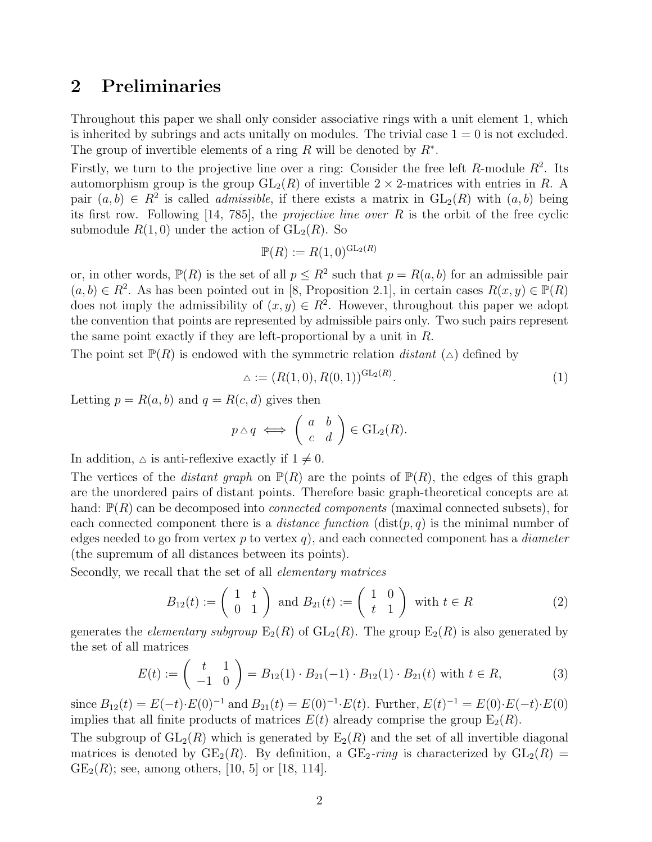#### 2 Preliminaries

Throughout this paper we shall only consider associative rings with a unit element 1, which is inherited by subrings and acts unitally on modules. The trivial case  $1 = 0$  is not excluded. The group of invertible elements of a ring R will be denoted by  $R^*$ .

Firstly, we turn to the projective line over a ring: Consider the free left  $R$ -module  $R^2$ . Its automorphism group is the group  $GL_2(R)$  of invertible  $2 \times 2$ -matrices with entries in R. A pair  $(a, b) \in R^2$  is called *admissible*, if there exists a matrix in  $GL_2(R)$  with  $(a, b)$  being its first row. Following [14, 785], the *projective line over* R is the orbit of the free cyclic submodule  $R(1,0)$  under the action of  $GL_2(R)$ . So

$$
\mathbb{P}(R) := R(1,0)^{\operatorname{GL}_2(R)}
$$

or, in other words,  $\mathbb{P}(R)$  is the set of all  $p \leq R^2$  such that  $p = R(a, b)$  for an admissible pair  $(a, b) \in R^2$ . As has been pointed out in [8, Proposition 2.1], in certain cases  $R(x, y) \in \mathbb{P}(R)$ does not imply the admissibility of  $(x, y) \in R^2$ . However, throughout this paper we adopt the convention that points are represented by admissible pairs only. Two such pairs represent the same point exactly if they are left-proportional by a unit in  $R$ .

The point set  $\mathbb{P}(R)$  is endowed with the symmetric relation *distant* ( $\triangle$ ) defined by

$$
\Delta := (R(1,0), R(0,1))^{\mathrm{GL}_2(R)}.\tag{1}
$$

Letting  $p = R(a, b)$  and  $q = R(c, d)$  gives then

$$
p \triangle q \iff \left( \begin{array}{cc} a & b \\ c & d \end{array} \right) \in \text{GL}_2(R).
$$

In addition,  $\Delta$  is anti-reflexive exactly if  $1 \neq 0$ .

The vertices of the *distant graph* on  $\mathbb{P}(R)$  are the points of  $\mathbb{P}(R)$ , the edges of this graph are the unordered pairs of distant points. Therefore basic graph-theoretical concepts are at hand:  $\mathbb{P}(R)$  can be decomposed into *connected components* (maximal connected subsets), for each connected component there is a *distance function*  $(\text{dist}(p, q))$  is the minimal number of edges needed to go from vertex p to vertex q), and each connected component has a *diameter* (the supremum of all distances between its points).

Secondly, we recall that the set of all *elementary matrices*

$$
B_{12}(t) := \begin{pmatrix} 1 & t \\ 0 & 1 \end{pmatrix} \text{ and } B_{21}(t) := \begin{pmatrix} 1 & 0 \\ t & 1 \end{pmatrix} \text{ with } t \in R
$$
 (2)

generates the *elementary subgroup*  $E_2(R)$  of  $GL_2(R)$ . The group  $E_2(R)$  is also generated by the set of all matrices

$$
E(t) := \begin{pmatrix} t & 1 \ -1 & 0 \end{pmatrix} = B_{12}(1) \cdot B_{21}(-1) \cdot B_{12}(1) \cdot B_{21}(t) \text{ with } t \in R,
$$
 (3)

since  $B_{12}(t) = E(-t) \cdot E(0)^{-1}$  and  $B_{21}(t) = E(0)^{-1} \cdot E(t)$ . Further,  $E(t)^{-1} = E(0) \cdot E(-t) \cdot E(0)$ implies that all finite products of matrices  $E(t)$  already comprise the group  $E_2(R)$ .

The subgroup of  $GL_2(R)$  which is generated by  $E_2(R)$  and the set of all invertible diagonal matrices is denoted by  $GE_2(R)$ . By definition, a  $GE_2\text{-ring}$  is characterized by  $GL_2(R)$  =  $GE_2(R)$ ; see, among others, [10, 5] or [18, 114].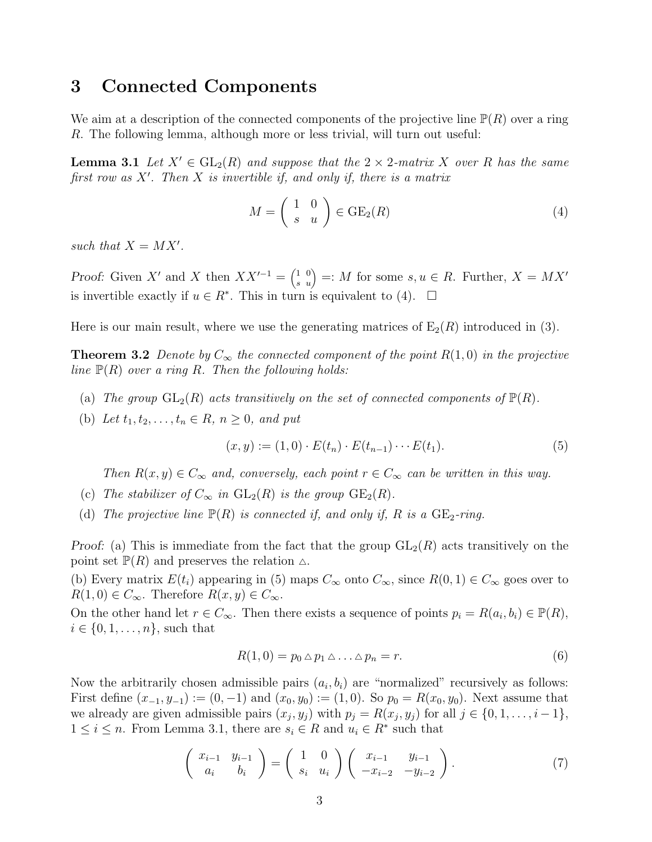#### 3 Connected Components

We aim at a description of the connected components of the projective line  $\mathbb{P}(R)$  over a ring R. The following lemma, although more or less trivial, will turn out useful:

**Lemma 3.1** Let  $X' \in GL_2(R)$  and suppose that the  $2 \times 2$ -matrix X over R has the same *first row as* X′ *. Then* X *is invertible if, and only if, there is a matrix*

$$
M = \begin{pmatrix} 1 & 0 \\ s & u \end{pmatrix} \in \text{GE}_2(R) \tag{4}
$$

such that  $X = MX'$ .

Proof: Given X' and X then  $XX'^{-1} = \begin{pmatrix} 1 & 0 \\ s & u \end{pmatrix} =: M$  for some  $s, u \in R$ . Further,  $X = MX'$ is invertible exactly if  $u \in R^*$ . This in turn is equivalent to (4).  $\Box$ 

Here is our main result, where we use the generating matrices of  $E_2(R)$  introduced in (3).

**Theorem 3.2** Denote by  $C_{\infty}$  the connected component of the point  $R(1,0)$  in the projective *line* P(R) *over a ring* R*. Then the following holds:*

- (a) The group  $GL_2(R)$  acts transitively on the set of connected components of  $\mathbb{P}(R)$ .
- (b) Let  $t_1, t_2, \ldots, t_n \in R$ ,  $n \geq 0$ , and put

$$
(x, y) := (1, 0) \cdot E(t_n) \cdot E(t_{n-1}) \cdots E(t_1).
$$
 (5)

*Then*  $R(x, y) \in C_{\infty}$  *and, conversely, each point*  $r \in C_{\infty}$  *can be written in this way.* 

- (c) The stabilizer of  $C_{\infty}$  in  $GL_2(R)$  is the group  $GE_2(R)$ .
- (d) The projective line  $\mathbb{P}(R)$  is connected if, and only if, R is a  $GE_2$ -ring.

Proof: (a) This is immediate from the fact that the group  $GL_2(R)$  acts transitively on the point set  $\mathbb{P}(R)$  and preserves the relation  $\triangle$ .

(b) Every matrix  $E(t_i)$  appearing in (5) maps  $C_\infty$  onto  $C_\infty$ , since  $R(0, 1) \in C_\infty$  goes over to  $R(1,0) \in C_{\infty}$ . Therefore  $R(x,y) \in C_{\infty}$ .

On the other hand let  $r \in C_{\infty}$ . Then there exists a sequence of points  $p_i = R(a_i, b_i) \in \mathbb{P}(R)$ ,  $i \in \{0, 1, \ldots, n\}$ , such that

$$
R(1,0) = p_0 \triangle p_1 \triangle \dots \triangle p_n = r.
$$
\n<sup>(6)</sup>

Now the arbitrarily chosen admissible pairs  $(a_i, b_i)$  are "normalized" recursively as follows: First define  $(x_{-1}, y_{-1}) := (0, -1)$  and  $(x_0, y_0) := (1, 0)$ . So  $p_0 = R(x_0, y_0)$ . Next assume that we already are given admissible pairs  $(x_j, y_j)$  with  $p_j = R(x_j, y_j)$  for all  $j \in \{0, 1, \ldots, i-1\},$  $1 \leq i \leq n$ . From Lemma 3.1, there are  $s_i \in R$  and  $u_i \in R^*$  such that

$$
\begin{pmatrix} x_{i-1} & y_{i-1} \\ a_i & b_i \end{pmatrix} = \begin{pmatrix} 1 & 0 \\ s_i & u_i \end{pmatrix} \begin{pmatrix} x_{i-1} & y_{i-1} \\ -x_{i-2} & -y_{i-2} \end{pmatrix}.
$$
 (7)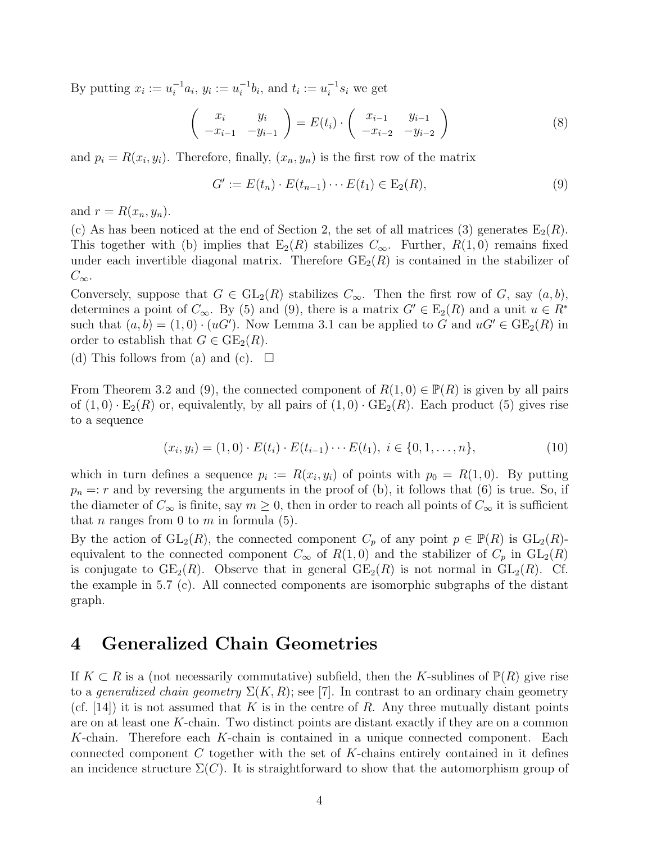By putting  $x_i := u_i^{-1} a_i$ ,  $y_i := u_i^{-1} b_i$ , and  $t_i := u_i^{-1} s_i$  we get

$$
\begin{pmatrix} x_i & y_i \\ -x_{i-1} & -y_{i-1} \end{pmatrix} = E(t_i) \cdot \begin{pmatrix} x_{i-1} & y_{i-1} \\ -x_{i-2} & -y_{i-2} \end{pmatrix}
$$
 (8)

and  $p_i = R(x_i, y_i)$ . Therefore, finally,  $(x_n, y_n)$  is the first row of the matrix

$$
G' := E(t_n) \cdot E(t_{n-1}) \cdots E(t_1) \in E_2(R), \tag{9}
$$

and  $r = R(x_n, y_n)$ .

(c) As has been noticed at the end of Section 2, the set of all matrices (3) generates  $E_2(R)$ . This together with (b) implies that  $E_2(R)$  stabilizes  $C_{\infty}$ . Further,  $R(1,0)$  remains fixed under each invertible diagonal matrix. Therefore  $GE_2(R)$  is contained in the stabilizer of  $C_{\infty}$ .

Conversely, suppose that  $G \in GL_2(R)$  stabilizes  $C_{\infty}$ . Then the first row of G, say  $(a, b)$ , determines a point of  $C_{\infty}$ . By (5) and (9), there is a matrix  $G' \in E_2(R)$  and a unit  $u \in R^*$ such that  $(a, b) = (1, 0) \cdot (uG')$ . Now Lemma 3.1 can be applied to G and  $uG' \in \text{GE}_2(R)$  in order to establish that  $G \in \text{GE}_2(R)$ .

(d) This follows from (a) and (c).  $\square$ 

From Theorem 3.2 and (9), the connected component of  $R(1,0) \in \mathbb{P}(R)$  is given by all pairs of  $(1,0) \cdot \mathbb{E}_2(R)$  or, equivalently, by all pairs of  $(1,0) \cdot \mathbb{E}_2(R)$ . Each product (5) gives rise to a sequence

$$
(x_i, y_i) = (1, 0) \cdot E(t_i) \cdot E(t_{i-1}) \cdots E(t_1), \ i \in \{0, 1, \ldots, n\},\tag{10}
$$

which in turn defines a sequence  $p_i := R(x_i, y_i)$  of points with  $p_0 = R(1, 0)$ . By putting  $p_n =: r$  and by reversing the arguments in the proof of (b), it follows that (6) is true. So, if the diameter of  $C_{\infty}$  is finite, say  $m \geq 0$ , then in order to reach all points of  $C_{\infty}$  it is sufficient that *n* ranges from 0 to *m* in formula  $(5)$ .

By the action of  $GL_2(R)$ , the connected component  $C_p$  of any point  $p \in \mathbb{P}(R)$  is  $GL_2(R)$ equivalent to the connected component  $C_{\infty}$  of  $R(1,0)$  and the stabilizer of  $C_p$  in  $GL_2(R)$ is conjugate to  $GE_2(R)$ . Observe that in general  $GE_2(R)$  is not normal in  $GL_2(R)$ . Cf. the example in 5.7 (c). All connected components are isomorphic subgraphs of the distant graph.

#### 4 Generalized Chain Geometries

If  $K \subset R$  is a (not necessarily commutative) subfield, then the K-sublines of  $\mathbb{P}(R)$  give rise to a *generalized chain geometry*  $\Sigma(K, R)$ ; see [7]. In contrast to an ordinary chain geometry (cf. [14]) it is not assumed that K is in the centre of R. Any three mutually distant points are on at least one K-chain. Two distinct points are distant exactly if they are on a common K-chain. Therefore each K-chain is contained in a unique connected component. Each connected component  $C$  together with the set of  $K$ -chains entirely contained in it defines an incidence structure  $\Sigma(C)$ . It is straightforward to show that the automorphism group of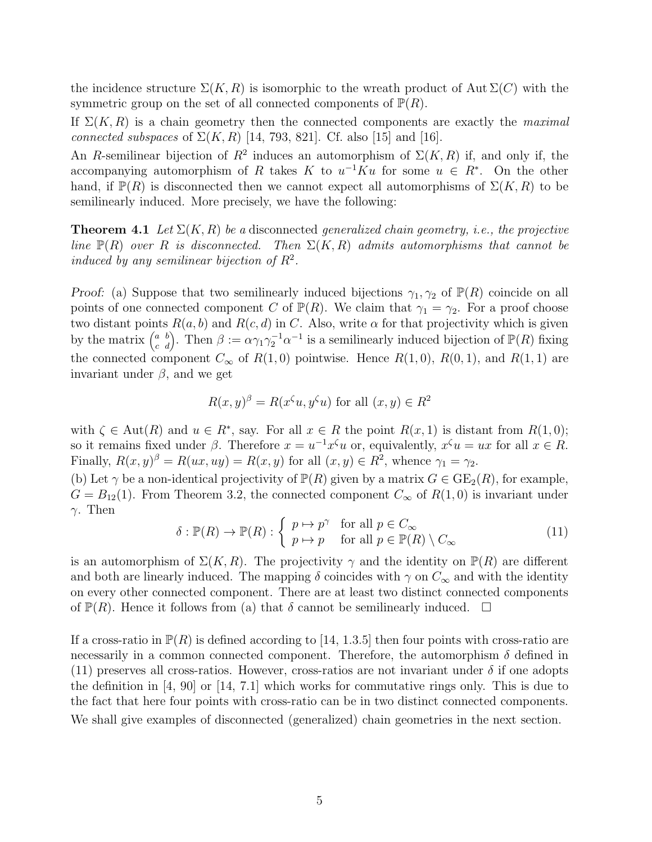the incidence structure  $\Sigma(K, R)$  is isomorphic to the wreath product of Aut  $\Sigma(C)$  with the symmetric group on the set of all connected components of  $\mathbb{P}(R)$ .

If  $\Sigma(K, R)$  is a chain geometry then the connected components are exactly the *maximal connected subspaces* of  $\Sigma(K, R)$  [14, 793, 821]. Cf. also [15] and [16].

An R-semilinear bijection of  $R^2$  induces an automorphism of  $\Sigma(K, R)$  if, and only if, the accompanying automorphism of R takes K to  $u^{-1}Ku$  for some  $u \in R^*$ . On the other hand, if  $\mathbb{P}(R)$  is disconnected then we cannot expect all automorphisms of  $\Sigma(K, R)$  to be semilinearly induced. More precisely, we have the following:

**Theorem 4.1** Let  $\Sigma(K, R)$  be a disconnected *generalized chain geometry, i.e., the projective line*  $\mathbb{P}(R)$  *over* R *is disconnected.* Then  $\Sigma(K, R)$  *admits automorphisms that cannot be induced by any semilinear bijection of*  $R^2$ .

Proof: (a) Suppose that two semilinearly induced bijections  $\gamma_1, \gamma_2$  of  $\mathbb{P}(R)$  coincide on all points of one connected component C of  $\mathbb{P}(R)$ . We claim that  $\gamma_1 = \gamma_2$ . For a proof choose two distant points  $R(a, b)$  and  $R(c, d)$  in C. Also, write  $\alpha$  for that projectivity which is given by the matrix  $\begin{pmatrix} a & b \\ c & d \end{pmatrix}$ . Then  $\beta := \alpha \gamma_1 \gamma_2^{-1} \alpha^{-1}$  is a semilinearly induced bijection of  $\mathbb{P}(R)$  fixing the connected component  $C_{\infty}$  of  $R(1,0)$  pointwise. Hence  $R(1,0)$ ,  $R(0,1)$ , and  $R(1,1)$  are invariant under  $β$ , and we get

$$
R(x, y)^{\beta} = R(x^{\zeta}u, y^{\zeta}u) \text{ for all } (x, y) \in R^2
$$

with  $\zeta \in \text{Aut}(R)$  and  $u \in R^*$ , say. For all  $x \in R$  the point  $R(x, 1)$  is distant from  $R(1, 0)$ ; so it remains fixed under  $\beta$ . Therefore  $x = u^{-1}x^{\zeta}u$  or, equivalently,  $x^{\zeta}u = ux$  for all  $x \in R$ . Finally,  $R(x, y) = R(ux, uy) = R(x, y)$  for all  $(x, y) \in R^2$ , whence  $\gamma_1 = \gamma_2$ .

(b) Let  $\gamma$  be a non-identical projectivity of  $\mathbb{P}(R)$  given by a matrix  $G \in \text{GE}_2(R)$ , for example,  $G = B_{12}(1)$ . From Theorem 3.2, the connected component  $C_{\infty}$  of  $R(1,0)$  is invariant under γ. Then

$$
\delta : \mathbb{P}(R) \to \mathbb{P}(R) : \begin{cases} p \mapsto p^{\gamma} & \text{for all } p \in C_{\infty} \\ p \mapsto p & \text{for all } p \in \mathbb{P}(R) \setminus C_{\infty} \end{cases}
$$
(11)

is an automorphism of  $\Sigma(K, R)$ . The projectivity  $\gamma$  and the identity on  $\mathbb{P}(R)$  are different and both are linearly induced. The mapping  $\delta$  coincides with  $\gamma$  on  $C_{\infty}$  and with the identity on every other connected component. There are at least two distinct connected components of  $\mathbb{P}(R)$ . Hence it follows from (a) that  $\delta$  cannot be semilinearly induced.  $\Box$ 

If a cross-ratio in  $\mathbb{P}(R)$  is defined according to [14, 1.3.5] then four points with cross-ratio are necessarily in a common connected component. Therefore, the automorphism  $\delta$  defined in (11) preserves all cross-ratios. However, cross-ratios are not invariant under  $\delta$  if one adopts the definition in  $[4, 90]$  or  $[14, 7.1]$  which works for commutative rings only. This is due to the fact that here four points with cross-ratio can be in two distinct connected components. We shall give examples of disconnected (generalized) chain geometries in the next section.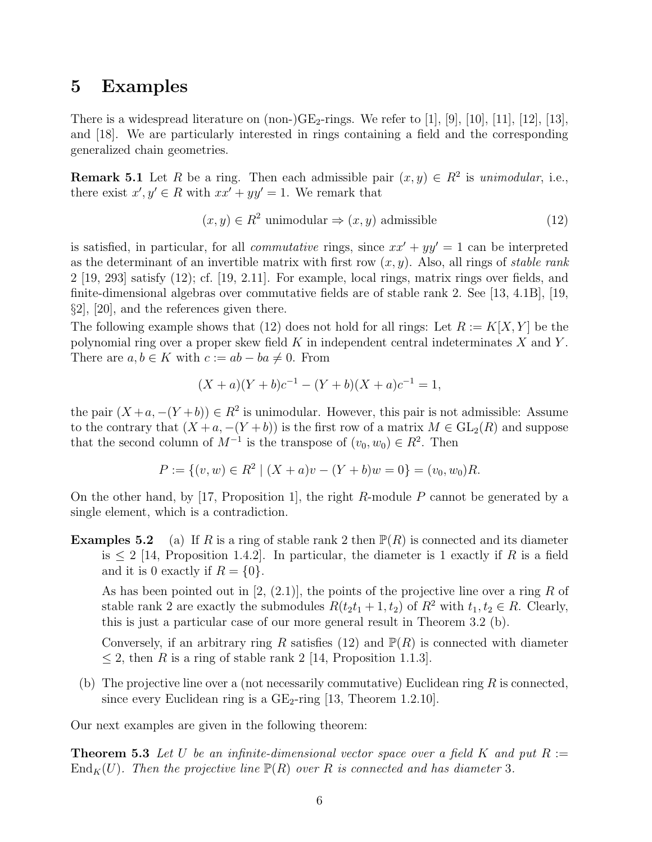#### 5 Examples

There is a widespread literature on  $(non-)GE_2$ -rings. We refer to [1], [9], [10], [11], [12], [13], and [18]. We are particularly interested in rings containing a field and the corresponding generalized chain geometries.

**Remark 5.1** Let R be a ring. Then each admissible pair  $(x, y) \in R^2$  is *unimodular*, i.e., there exist  $x', y' \in R$  with  $xx' + yy' = 1$ . We remark that

$$
(x, y) \in R^2 \text{ unimodular} \Rightarrow (x, y) \text{ admissible} \tag{12}
$$

is satisfied, in particular, for all *commutative* rings, since  $xx' + yy' = 1$  can be interpreted as the determinant of an invertible matrix with first row (x, y). Also, all rings of *stable rank* 2 [19, 293] satisfy (12); cf. [19, 2.11]. For example, local rings, matrix rings over fields, and finite-dimensional algebras over commutative fields are of stable rank 2. See [13, 4.1B], [19, §2], [20], and the references given there.

The following example shows that (12) does not hold for all rings: Let  $R := K[X, Y]$  be the polynomial ring over a proper skew field  $K$  in independent central indeterminates  $X$  and  $Y$ . There are  $a, b \in K$  with  $c := ab - ba \neq 0$ . From

$$
(X + a)(Y + b)c^{-1} - (Y + b)(X + a)c^{-1} = 1,
$$

the pair  $(X+a, -(Y+b)) \in R^2$  is unimodular. However, this pair is not admissible: Assume to the contrary that  $(X + a, -(Y + b))$  is the first row of a matrix  $M \in GL_2(R)$  and suppose that the second column of  $M^{-1}$  is the transpose of  $(v_0, w_0) \in R^2$ . Then

$$
P := \{(v, w) \in R^2 \mid (X + a)v - (Y + b)w = 0\} = (v_0, w_0)R.
$$

On the other hand, by [17, Proposition 1], the right R-module P cannot be generated by a single element, which is a contradiction.

**Examples 5.2** (a) If R is a ring of stable rank 2 then  $\mathbb{P}(R)$  is connected and its diameter is  $\leq 2$  [14, Proposition 1.4.2]. In particular, the diameter is 1 exactly if R is a field and it is 0 exactly if  $R = \{0\}.$ 

As has been pointed out in  $[2, (2.1)]$ , the points of the projective line over a ring R of stable rank 2 are exactly the submodules  $R(t_2t_1 + 1, t_2)$  of  $R^2$  with  $t_1, t_2 \in R$ . Clearly, this is just a particular case of our more general result in Theorem 3.2 (b).

Conversely, if an arbitrary ring R satisfies (12) and  $\mathbb{P}(R)$  is connected with diameter  $\leq$  2, then R is a ring of stable rank 2 [14, Proposition 1.1.3].

(b) The projective line over a (not necessarily commutative) Euclidean ring  $R$  is connected, since every Euclidean ring is a  $GE_2$ -ring [13, Theorem 1.2.10].

Our next examples are given in the following theorem:

**Theorem 5.3** Let U be an infinite-dimensional vector space over a field K and put  $R :=$  $\text{End}_K(U)$ *. Then the projective line*  $\mathbb{P}(R)$  *over* R *is connected and has diameter* 3*.*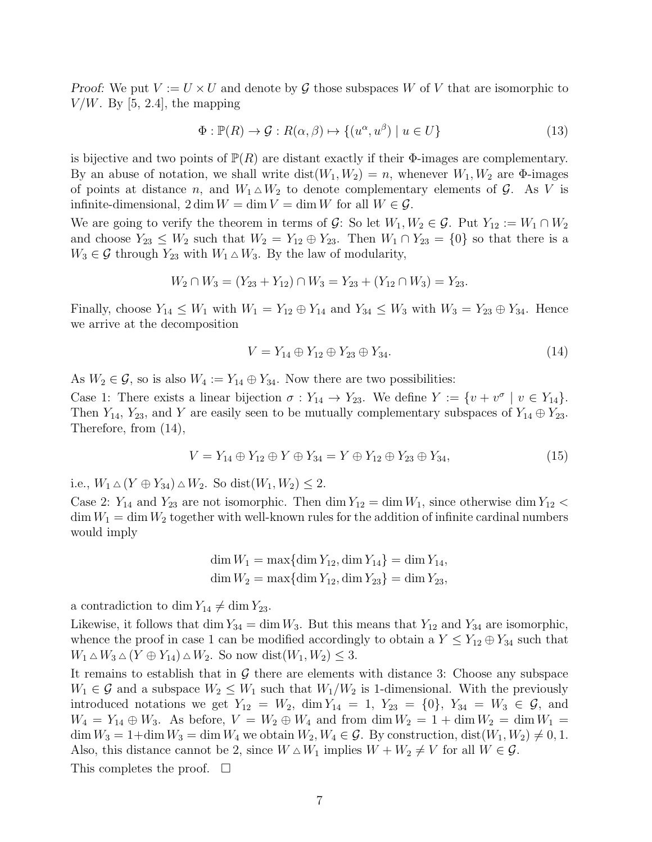Proof: We put  $V := U \times U$  and denote by G those subspaces W of V that are isomorphic to  $V/W$ . By [5, 2.4], the mapping

$$
\Phi: \mathbb{P}(R) \to \mathcal{G}: R(\alpha, \beta) \mapsto \{(u^{\alpha}, u^{\beta}) \mid u \in U\}
$$
\n
$$
(13)
$$

is bijective and two points of  $\mathbb{P}(R)$  are distant exactly if their  $\Phi$ -images are complementary. By an abuse of notation, we shall write  $dist(W_1, W_2) = n$ , whenever  $W_1, W_2$  are  $\Phi$ -images of points at distance n, and  $W_1 \triangle W_2$  to denote complementary elements of G. As V is infinite-dimensional,  $2 \dim W = \dim V = \dim W$  for all  $W \in \mathcal{G}$ .

We are going to verify the theorem in terms of  $\mathcal{G}$ : So let  $W_1, W_2 \in \mathcal{G}$ . Put  $Y_{12} := W_1 \cap W_2$ and choose  $Y_{23} \leq W_2$  such that  $W_2 = Y_{12} \oplus Y_{23}$ . Then  $W_1 \cap Y_{23} = \{0\}$  so that there is a  $W_3 \in \mathcal{G}$  through  $Y_{23}$  with  $W_1 \triangle W_3$ . By the law of modularity,

$$
W_2 \cap W_3 = (Y_{23} + Y_{12}) \cap W_3 = Y_{23} + (Y_{12} \cap W_3) = Y_{23}.
$$

Finally, choose  $Y_{14} \leq W_1$  with  $W_1 = Y_{12} \oplus Y_{14}$  and  $Y_{34} \leq W_3$  with  $W_3 = Y_{23} \oplus Y_{34}$ . Hence we arrive at the decomposition

$$
V = Y_{14} \oplus Y_{12} \oplus Y_{23} \oplus Y_{34}.
$$
\n(14)

As  $W_2 \in \mathcal{G}$ , so is also  $W_4 := Y_{14} \oplus Y_{34}$ . Now there are two possibilities:

Case 1: There exists a linear bijection  $\sigma: Y_{14} \to Y_{23}$ . We define  $Y := \{v + v^{\sigma} \mid v \in Y_{14}\}.$ Then  $Y_{14}$ ,  $Y_{23}$ , and Y are easily seen to be mutually complementary subspaces of  $Y_{14} \oplus Y_{23}$ . Therefore, from (14),

$$
V = Y_{14} \oplus Y_{12} \oplus Y \oplus Y_{34} = Y \oplus Y_{12} \oplus Y_{23} \oplus Y_{34}, \tag{15}
$$

i.e.,  $W_1 \triangle (Y \oplus Y_{34}) \triangle W_2$ . So dist $(W_1, W_2) \leq 2$ .

Case 2:  $Y_{14}$  and  $Y_{23}$  are not isomorphic. Then dim  $Y_{12} = \dim W_1$ , since otherwise dim  $Y_{12} <$  $\dim W_1 = \dim W_2$  together with well-known rules for the addition of infinite cardinal numbers would imply

$$
\dim W_1 = \max\{\dim Y_{12}, \dim Y_{14}\} = \dim Y_{14},
$$
  

$$
\dim W_2 = \max\{\dim Y_{12}, \dim Y_{23}\} = \dim Y_{23},
$$

a contradiction to dim  $Y_{14} \neq \dim Y_{23}$ .

Likewise, it follows that dim  $Y_{34} = \dim W_3$ . But this means that  $Y_{12}$  and  $Y_{34}$  are isomorphic, whence the proof in case 1 can be modified accordingly to obtain a  $Y \leq Y_{12} \oplus Y_{34}$  such that  $W_1 \triangle W_3 \triangle (Y \oplus Y_{14}) \triangle W_2$ . So now  $dist(W_1, W_2) \leq 3$ .

It remains to establish that in  $\mathcal G$  there are elements with distance 3: Choose any subspace  $W_1 \in \mathcal{G}$  and a subspace  $W_2 \leq W_1$  such that  $W_1/W_2$  is 1-dimensional. With the previously introduced notations we get  $Y_{12} = W_2$ ,  $\dim Y_{14} = 1$ ,  $Y_{23} = \{0\}$ ,  $Y_{34} = W_3 \in \mathcal{G}$ , and  $W_4 = Y_{14} \oplus W_3$ . As before,  $V = W_2 \oplus W_4$  and from dim  $W_2 = 1 + \dim W_2 = \dim W_1 =$  $\dim W_3 = 1 + \dim W_3 = \dim W_4$  we obtain  $W_2, W_4 \in \mathcal{G}$ . By construction,  $\text{dist}(W_1, W_2) \neq 0, 1$ . Also, this distance cannot be 2, since  $W \Delta W_1$  implies  $W + W_2 \neq V$  for all  $W \in \mathcal{G}$ .

This completes the proof.  $\square$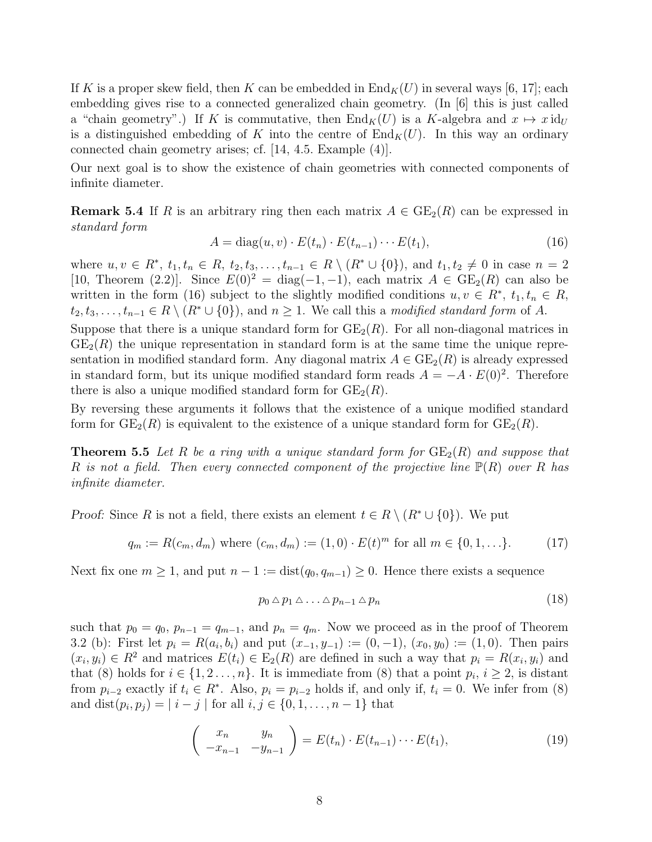If K is a proper skew field, then K can be embedded in  $\text{End}_K(U)$  in several ways [6, 17]; each embedding gives rise to a connected generalized chain geometry. (In [6] this is just called a "chain geometry".) If K is commutative, then  $\text{End}_K(U)$  is a K-algebra and  $x \mapsto x \text{id}_U$ is a distinguished embedding of K into the centre of  $\text{End}_K(U)$ . In this way an ordinary connected chain geometry arises; cf. [14, 4.5. Example (4)].

Our next goal is to show the existence of chain geometries with connected components of infinite diameter.

**Remark 5.4** If R is an arbitrary ring then each matrix  $A \in \text{GE}_2(R)$  can be expressed in *standard form*

$$
A = \text{diag}(u, v) \cdot E(t_n) \cdot E(t_{n-1}) \cdots E(t_1), \tag{16}
$$

where  $u, v \in R^*, t_1, t_n \in R, t_2, t_3, \ldots, t_{n-1} \in R \setminus (R^* \cup \{0\}),$  and  $t_1, t_2 \neq 0$  in case  $n = 2$ [10, Theorem (2.2)]. Since  $E(0)^2 = \text{diag}(-1, -1)$ , each matrix  $A \in \text{GE}_2(R)$  can also be written in the form (16) subject to the slightly modified conditions  $u, v \in \mathbb{R}^*, t_1, t_n \in \mathbb{R}$ ,  $t_2, t_3, \ldots, t_{n-1} \in R \setminus (R^* \cup \{0\})$ , and  $n \geq 1$ . We call this a *modified standard form* of A.

Suppose that there is a unique standard form for  $GE_2(R)$ . For all non-diagonal matrices in  $GE_2(R)$  the unique representation in standard form is at the same time the unique representation in modified standard form. Any diagonal matrix  $A \in \text{GE}_2(R)$  is already expressed in standard form, but its unique modified standard form reads  $A = -A \cdot E(0)^2$ . Therefore there is also a unique modified standard form for  $GE_2(R)$ .

By reversing these arguments it follows that the existence of a unique modified standard form for  $GE_2(R)$  is equivalent to the existence of a unique standard form for  $GE_2(R)$ .

**Theorem 5.5** Let R be a ring with a unique standard form for  $GE_2(R)$  and suppose that R *is not a field. Then every connected component of the projective line* P(R) *over* R *has infinite diameter.*

*Proof:* Since R is not a field, there exists an element  $t \in R \setminus (R^* \cup \{0\})$ . We put

$$
q_m := R(c_m, d_m) \text{ where } (c_m, d_m) := (1, 0) \cdot E(t)^m \text{ for all } m \in \{0, 1, \ldots\}. \tag{17}
$$

Next fix one  $m \geq 1$ , and put  $n - 1 := dist(q_0, q_{m-1}) \geq 0$ . Hence there exists a sequence

$$
p_0 \triangle p_1 \triangle \ldots \triangle p_{n-1} \triangle p_n \tag{18}
$$

such that  $p_0 = q_0$ ,  $p_{n-1} = q_{m-1}$ , and  $p_n = q_m$ . Now we proceed as in the proof of Theorem 3.2 (b): First let  $p_i = R(a_i, b_i)$  and put  $(x_{-1}, y_{-1}) := (0, -1), (x_0, y_0) := (1, 0)$ . Then pairs  $(x_i, y_i) \in R^2$  and matrices  $E(t_i) \in E_2(R)$  are defined in such a way that  $p_i = R(x_i, y_i)$  and that (8) holds for  $i \in \{1, 2, ..., n\}$ . It is immediate from (8) that a point  $p_i, i \geq 2$ , is distant from  $p_{i-2}$  exactly if  $t_i \in R^*$ . Also,  $p_i = p_{i-2}$  holds if, and only if,  $t_i = 0$ . We infer from (8) and  $dist(p_i, p_j) = | i - j |$  for all  $i, j \in \{0, 1, ..., n - 1\}$  that

$$
\begin{pmatrix} x_n & y_n \\ -x_{n-1} & -y_{n-1} \end{pmatrix} = E(t_n) \cdot E(t_{n-1}) \cdots E(t_1),\tag{19}
$$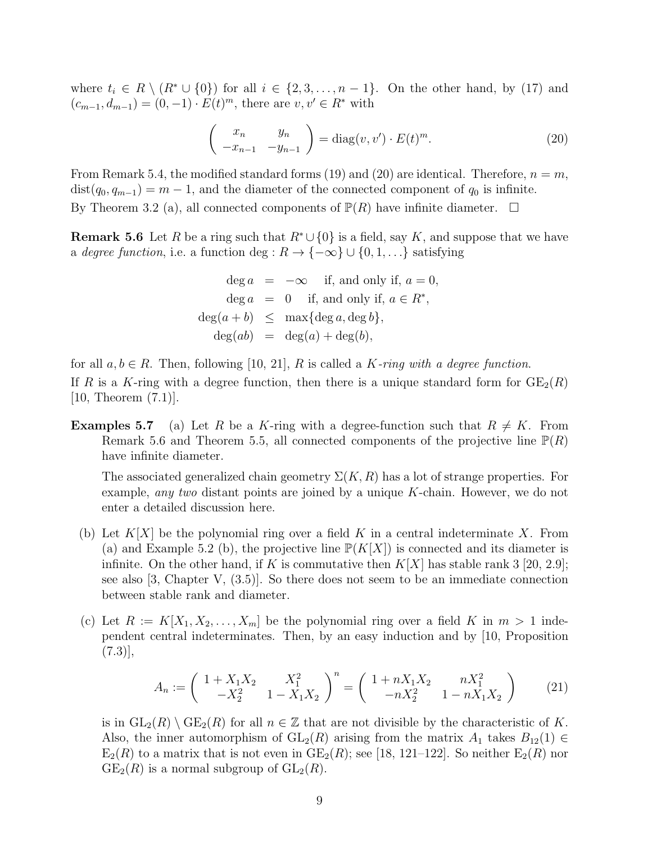where  $t_i \in R \setminus (R^* \cup \{0\})$  for all  $i \in \{2, 3, \ldots, n-1\}$ . On the other hand, by (17) and  $(c_{m-1}, d_{m-1}) = (0, -1) \cdot E(t)^m$ , there are  $v, v' \in R^*$  with

$$
\begin{pmatrix} x_n & y_n \\ -x_{n-1} & -y_{n-1} \end{pmatrix} = \text{diag}(v, v') \cdot E(t)^m.
$$
 (20)

From Remark 5.4, the modified standard forms (19) and (20) are identical. Therefore,  $n = m$ ,  $dist(q_0, q_{m-1}) = m - 1$ , and the diameter of the connected component of  $q_0$  is infinite. By Theorem 3.2 (a), all connected components of  $\mathbb{P}(R)$  have infinite diameter.  $\Box$ 

**Remark 5.6** Let R be a ring such that  $R^* \cup \{0\}$  is a field, say K, and suppose that we have a *degree function*, i.e. a function deg :  $R \to \{-\infty\} \cup \{0, 1, \ldots\}$  satisfying

$$
deg a = -\infty \quad \text{if, and only if, } a = 0,
$$
  

$$
deg a = 0 \quad \text{if, and only if, } a \in R^*,
$$
  

$$
deg(a + b) \leq max\{deg a, deg b\},
$$
  

$$
deg(ab) = deg(a) + deg(b),
$$

for all  $a, b \in R$ . Then, following [10, 21], R is called a K-ring with a degree function. If R is a K-ring with a degree function, then there is a unique standard form for  $GE_2(R)$ [10, Theorem (7.1)].

**Examples 5.7** (a) Let R be a K-ring with a degree-function such that  $R \neq K$ . From Remark 5.6 and Theorem 5.5, all connected components of the projective line  $\mathbb{P}(R)$ have infinite diameter.

The associated generalized chain geometry  $\Sigma(K, R)$  has a lot of strange properties. For example, *any two* distant points are joined by a unique K-chain. However, we do not enter a detailed discussion here.

- (b) Let  $K[X]$  be the polynomial ring over a field K in a central indeterminate X. From (a) and Example 5.2 (b), the projective line  $\mathbb{P}(K[X])$  is connected and its diameter is infinite. On the other hand, if K is commutative then  $K[X]$  has stable rank 3 [20, 2.9]; see also [3, Chapter V, (3.5)]. So there does not seem to be an immediate connection between stable rank and diameter.
- (c) Let  $R := K[X_1, X_2, \ldots, X_m]$  be the polynomial ring over a field K in  $m > 1$  independent central indeterminates. Then, by an easy induction and by [10, Proposition  $(7.3)$ ,

$$
A_n := \begin{pmatrix} 1 + X_1 X_2 & X_1^2 \\ -X_2^2 & 1 - X_1 X_2 \end{pmatrix}^n = \begin{pmatrix} 1 + nX_1 X_2 & nX_1^2 \\ -nX_2^2 & 1 - nX_1 X_2 \end{pmatrix}
$$
 (21)

is in  $GL_2(R) \setminus \text{GE}_2(R)$  for all  $n \in \mathbb{Z}$  that are not divisible by the characteristic of K. Also, the inner automorphism of  $GL_2(R)$  arising from the matrix  $A_1$  takes  $B_{12}(1) \in$  $E_2(R)$  to a matrix that is not even in  $GE_2(R)$ ; see [18, 121–122]. So neither  $E_2(R)$  nor  $GE_2(R)$  is a normal subgroup of  $GL_2(R)$ .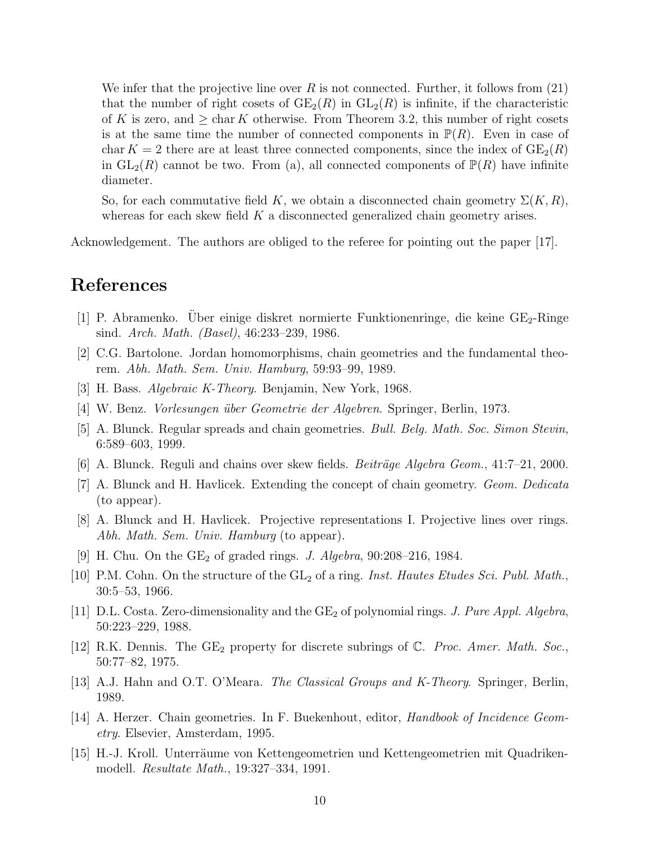We infer that the projective line over R is not connected. Further, it follows from  $(21)$ that the number of right cosets of  $GE_2(R)$  in  $GL_2(R)$  is infinite, if the characteristic of K is zero, and  $\geq$  char K otherwise. From Theorem 3.2, this number of right cosets is at the same time the number of connected components in  $\mathbb{P}(R)$ . Even in case of char  $K = 2$  there are at least three connected components, since the index of  $GE_2(R)$ in  $GL_2(R)$  cannot be two. From (a), all connected components of  $\mathbb{P}(R)$  have infinite diameter.

So, for each commutative field K, we obtain a disconnected chain geometry  $\Sigma(K, R)$ , whereas for each skew field  $K$  a disconnected generalized chain geometry arises.

Acknowledgement. The authors are obliged to the referee for pointing out the paper [17].

## References

- [1] P. Abramenko. Über einige diskret normierte Funktionenringe, die keine  $GE_2$ -Ringe sind. *Arch. Math. (Basel)*, 46:233–239, 1986.
- [2] C.G. Bartolone. Jordan homomorphisms, chain geometries and the fundamental theorem. *Abh. Math. Sem. Univ. Hamburg*, 59:93–99, 1989.
- [3] H. Bass. *Algebraic K-Theory*. Benjamin, New York, 1968.
- [4] W. Benz. *Vorlesungen ¨uber Geometrie der Algebren*. Springer, Berlin, 1973.
- [5] A. Blunck. Regular spreads and chain geometries. *Bull. Belg. Math. Soc. Simon Stevin*, 6:589–603, 1999.
- $[6]$  A. Blunck. Reguli and chains over skew fields. *Beiträge Algebra Geom.*,  $41:7-21$ ,  $2000$ .
- [7] A. Blunck and H. Havlicek. Extending the concept of chain geometry. *Geom. Dedicata* (to appear).
- [8] A. Blunck and H. Havlicek. Projective representations I. Projective lines over rings. *Abh. Math. Sem. Univ. Hamburg* (to appear).
- [9] H. Chu. On the GE<sub>2</sub> of graded rings. *J. Algebra*, 90:208–216, 1984.
- [10] P.M. Cohn. On the structure of the  $GL_2$  of a ring. *Inst. Hautes Etudes Sci. Publ. Math.*, 30:5–53, 1966.
- [11] D.L. Costa. Zero-dimensionality and the GE<sup>2</sup> of polynomial rings. *J. Pure Appl. Algebra*, 50:223–229, 1988.
- [12] R.K. Dennis. The GE<sub>2</sub> property for discrete subrings of C. Proc. Amer. Math. Soc., 50:77–82, 1975.
- [13] A.J. Hahn and O.T. O'Meara. *The Classical Groups and K-Theory*. Springer, Berlin, 1989.
- [14] A. Herzer. Chain geometries. In F. Buekenhout, editor, *Handbook of Incidence Geometry*. Elsevier, Amsterdam, 1995.
- [15] H.-J. Kroll. Unterräume von Kettengeometrien und Kettengeometrien mit Quadrikenmodell. *Resultate Math.*, 19:327–334, 1991.